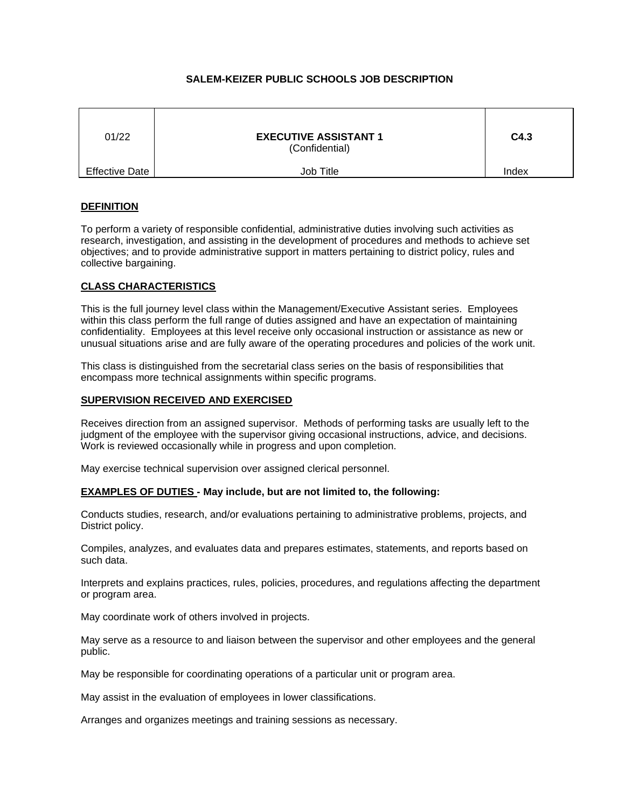# **SALEM-KEIZER PUBLIC SCHOOLS JOB DESCRIPTION**

| 01/22                 | <b>EXECUTIVE ASSISTANT 1</b><br>(Confidential) | C4.3  |
|-----------------------|------------------------------------------------|-------|
| <b>Effective Date</b> | Job Title                                      | Index |

# **DEFINITION**

To perform a variety of responsible confidential, administrative duties involving such activities as research, investigation, and assisting in the development of procedures and methods to achieve set objectives; and to provide administrative support in matters pertaining to district policy, rules and collective bargaining.

## **CLASS CHARACTERISTICS**

This is the full journey level class within the Management/Executive Assistant series. Employees within this class perform the full range of duties assigned and have an expectation of maintaining confidentiality. Employees at this level receive only occasional instruction or assistance as new or unusual situations arise and are fully aware of the operating procedures and policies of the work unit.

This class is distinguished from the secretarial class series on the basis of responsibilities that encompass more technical assignments within specific programs.

### **SUPERVISION RECEIVED AND EXERCISED**

Receives direction from an assigned supervisor. Methods of performing tasks are usually left to the judgment of the employee with the supervisor giving occasional instructions, advice, and decisions. Work is reviewed occasionally while in progress and upon completion.

May exercise technical supervision over assigned clerical personnel.

## **EXAMPLES OF DUTIES - May include, but are not limited to, the following:**

Conducts studies, research, and/or evaluations pertaining to administrative problems, projects, and District policy.

Compiles, analyzes, and evaluates data and prepares estimates, statements, and reports based on such data.

Interprets and explains practices, rules, policies, procedures, and regulations affecting the department or program area.

May coordinate work of others involved in projects.

May serve as a resource to and liaison between the supervisor and other employees and the general public.

May be responsible for coordinating operations of a particular unit or program area.

May assist in the evaluation of employees in lower classifications.

Arranges and organizes meetings and training sessions as necessary.